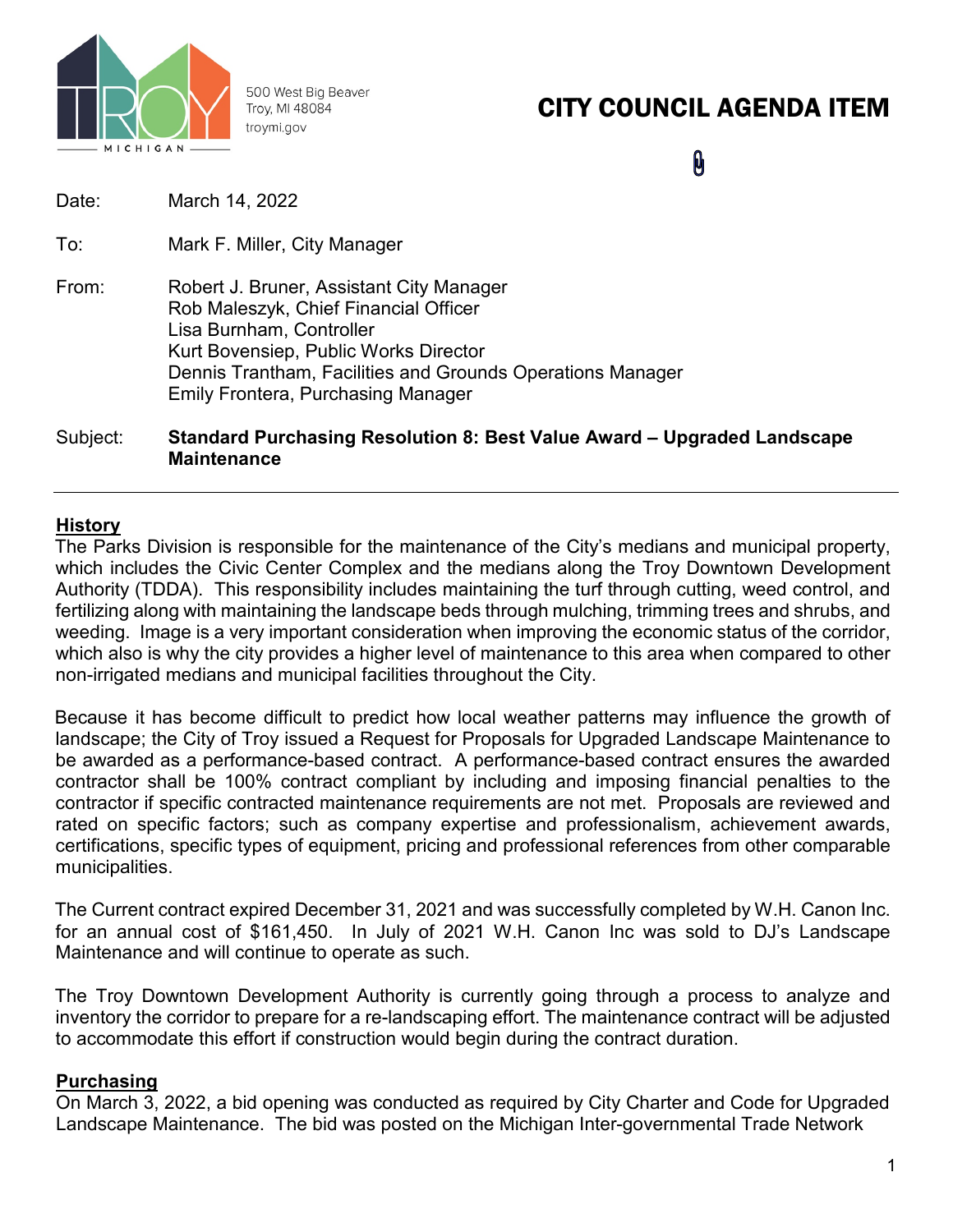

500 West Big Beaver Troy, MI 48084 troymi.gov

# CITY COUNCIL AGENDA ITEM

 $\mathbf{\theta}$ 

| Subject: | Standard Purchasing Resolution 8: Best Value Award – Upgraded La                                                                                                                                                                                                  |
|----------|-------------------------------------------------------------------------------------------------------------------------------------------------------------------------------------------------------------------------------------------------------------------|
| From:    | Robert J. Bruner, Assistant City Manager<br>Rob Maleszyk, Chief Financial Officer<br>Lisa Burnham, Controller<br>Kurt Bovensiep, Public Works Director<br>Dennis Trantham, Facilities and Grounds Operations Manager<br><b>Emily Frontera, Purchasing Manager</b> |
| To:      | Mark F. Miller, City Manager                                                                                                                                                                                                                                      |
| Date:    | March 14, 2022                                                                                                                                                                                                                                                    |
|          |                                                                                                                                                                                                                                                                   |

## Subject: **Standard Purchasing Resolution 8: Best Value Award – Upgraded Landscape Maintenance**

## **History**

The Parks Division is responsible for the maintenance of the City's medians and municipal property, which includes the Civic Center Complex and the medians along the Troy Downtown Development Authority (TDDA). This responsibility includes maintaining the turf through cutting, weed control, and fertilizing along with maintaining the landscape beds through mulching, trimming trees and shrubs, and weeding. Image is a very important consideration when improving the economic status of the corridor, which also is why the city provides a higher level of maintenance to this area when compared to other non-irrigated medians and municipal facilities throughout the City.

Because it has become difficult to predict how local weather patterns may influence the growth of landscape; the City of Troy issued a Request for Proposals for Upgraded Landscape Maintenance to be awarded as a performance-based contract. A performance-based contract ensures the awarded contractor shall be 100% contract compliant by including and imposing financial penalties to the contractor if specific contracted maintenance requirements are not met. Proposals are reviewed and rated on specific factors; such as company expertise and professionalism, achievement awards, certifications, specific types of equipment, pricing and professional references from other comparable municipalities.

The Current contract expired December 31, 2021 and was successfully completed by W.H. Canon Inc. for an annual cost of \$161,450. In July of 2021 W.H. Canon Inc was sold to DJ's Landscape Maintenance and will continue to operate as such.

The Troy Downtown Development Authority is currently going through a process to analyze and inventory the corridor to prepare for a re-landscaping effort. The maintenance contract will be adjusted to accommodate this effort if construction would begin during the contract duration.

#### **Purchasing**

On March 3, 2022, a bid opening was conducted as required by City Charter and Code for Upgraded Landscape Maintenance. The bid was posted on the Michigan Inter-governmental Trade Network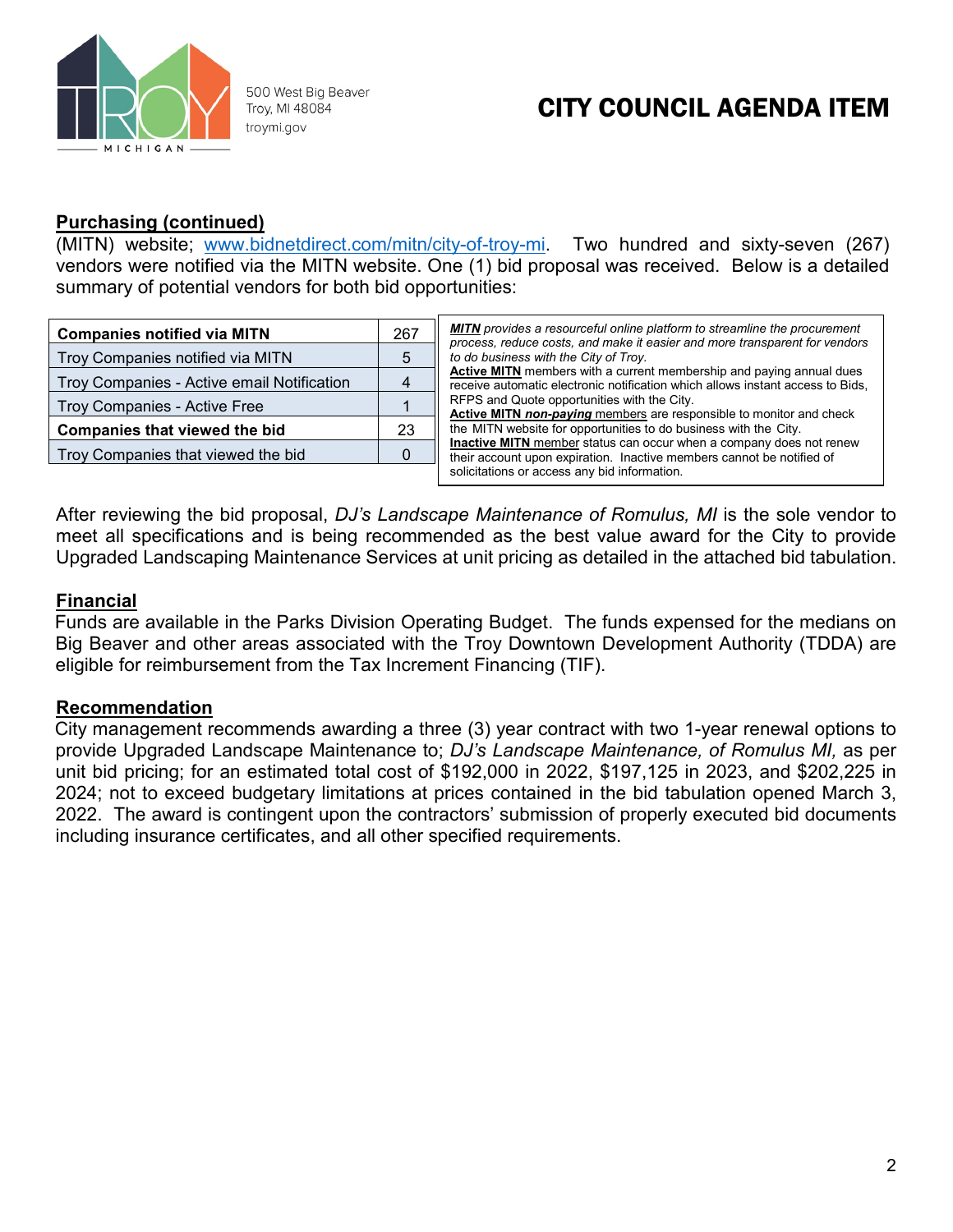

500 West Big Beaver Troy, MI 48084 troymi.gov

# CITY COUNCIL AGENDA ITEM

## **Purchasing (continued)**

(MITN) website; [www.bidnetdirect.com/mitn/city-of-troy-mi.](http://www.bidnetdirect.com/mitn/city-of-troy-mi) Two hundred and sixty-seven (267) vendors were notified via the MITN website. One (1) bid proposal was received. Below is a detailed summary of potential vendors for both bid opportunities:

| <b>Companies notified via MITN</b>         |   | <b>MITN</b> provides a resourceful online platform to streamline the procurement<br>process, reduce costs, and make it easier and more transparent for vendors                                                          |  |  |  |  |  |
|--------------------------------------------|---|-------------------------------------------------------------------------------------------------------------------------------------------------------------------------------------------------------------------------|--|--|--|--|--|
| Troy Companies notified via MITN           | 5 | to do business with the City of Troy.                                                                                                                                                                                   |  |  |  |  |  |
| Troy Companies - Active email Notification |   | Active MITN members with a current membership and paying annual dues<br>receive automatic electronic notification which allows instant access to Bids,                                                                  |  |  |  |  |  |
| Troy Companies - Active Free               |   | RFPS and Quote opportunities with the City.<br>Active MITN non-paying members are responsible to monitor and check                                                                                                      |  |  |  |  |  |
| <b>Companies that viewed the bid</b>       |   | the MITN website for opportunities to do business with the City.<br><b>Inactive MITN</b> member status can occur when a company does not renew<br>their account upon expiration. Inactive members cannot be notified of |  |  |  |  |  |
| Troy Companies that viewed the bid         |   |                                                                                                                                                                                                                         |  |  |  |  |  |
|                                            |   | solicitations or access any bid information.                                                                                                                                                                            |  |  |  |  |  |

After reviewing the bid proposal, *DJ's Landscape Maintenance of Romulus, MI* is the sole vendor to meet all specifications and is being recommended as the best value award for the City to provide Upgraded Landscaping Maintenance Services at unit pricing as detailed in the attached bid tabulation.

### **Financial**

Funds are available in the Parks Division Operating Budget. The funds expensed for the medians on Big Beaver and other areas associated with the Troy Downtown Development Authority (TDDA) are eligible for reimbursement from the Tax Increment Financing (TIF).

#### **Recommendation**

City management recommends awarding a three (3) year contract with two 1-year renewal options to provide Upgraded Landscape Maintenance to; *DJ's Landscape Maintenance, of Romulus MI,* as per unit bid pricing; for an estimated total cost of \$192,000 in 2022, \$197,125 in 2023, and \$202,225 in 2024; not to exceed budgetary limitations at prices contained in the bid tabulation opened March 3, 2022. The award is contingent upon the contractors' submission of properly executed bid documents including insurance certificates, and all other specified requirements.